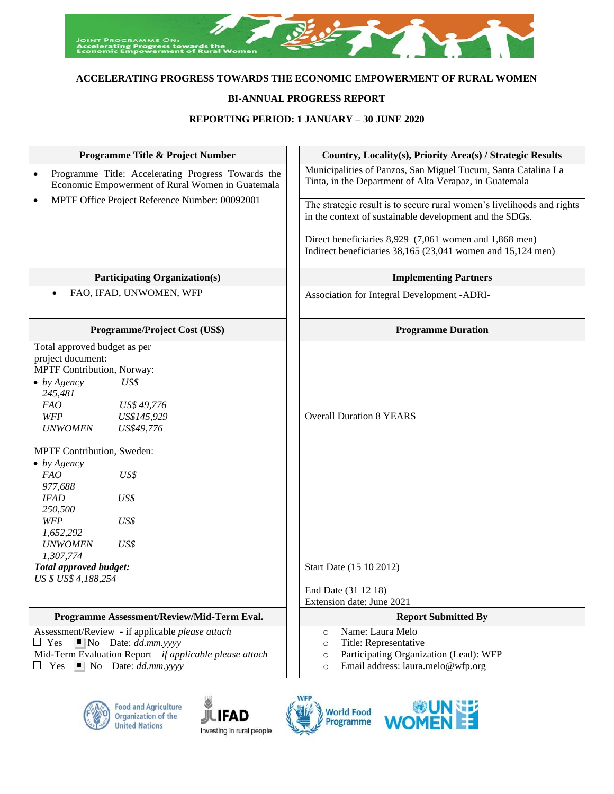

# **ACCELERATING PROGRESS TOWARDS THE ECONOMIC EMPOWERMENT OF RURAL WOMEN**

## **BI-ANNUAL PROGRESS REPORT**

## **REPORTING PERIOD: 1 JANUARY – 30 JUNE 2020**

| <b>Programme Title &amp; Project Number</b>                                                                                                                                                                                                                                                                                                                                  | Country, Locality(s), Priority Area(s) / Strategic Results                                                                                                           |
|------------------------------------------------------------------------------------------------------------------------------------------------------------------------------------------------------------------------------------------------------------------------------------------------------------------------------------------------------------------------------|----------------------------------------------------------------------------------------------------------------------------------------------------------------------|
| Programme Title: Accelerating Progress Towards the<br>$\bullet$<br>Economic Empowerment of Rural Women in Guatemala                                                                                                                                                                                                                                                          | Municipalities of Panzos, San Miguel Tucuru, Santa Catalina La<br>Tinta, in the Department of Alta Verapaz, in Guatemala                                             |
| MPTF Office Project Reference Number: 00092001                                                                                                                                                                                                                                                                                                                               | The strategic result is to secure rural women's livelihoods and rights<br>in the context of sustainable development and the SDGs.                                    |
|                                                                                                                                                                                                                                                                                                                                                                              | Direct beneficiaries 8,929 (7,061 women and 1,868 men)<br>Indirect beneficiaries 38,165 (23,041 women and 15,124 men)                                                |
| <b>Participating Organization(s)</b>                                                                                                                                                                                                                                                                                                                                         | <b>Implementing Partners</b>                                                                                                                                         |
| FAO, IFAD, UNWOMEN, WFP<br>$\bullet$                                                                                                                                                                                                                                                                                                                                         | Association for Integral Development -ADRI-                                                                                                                          |
| Programme/Project Cost (US\$)                                                                                                                                                                                                                                                                                                                                                | <b>Programme Duration</b>                                                                                                                                            |
| Total approved budget as per<br>project document:<br>MPTF Contribution, Norway:<br>$\bullet$ by Agency<br>US\$<br>245,481<br>FAO<br>US\$ 49,776<br>WFP<br>US\$145,929<br>US\$49,776<br><b>UNWOMEN</b><br>MPTF Contribution, Sweden:<br>$\bullet$ by Agency<br>FAO<br>US\$<br>977,688<br><b>IFAD</b><br>US\$<br>250,500<br>WFP<br>US\$<br>1,652,292<br>US\$<br><b>UNWOMEN</b> | <b>Overall Duration 8 YEARS</b>                                                                                                                                      |
| 1,307,774<br>Total approved budget:<br>US \$ US\$ 4,188,254                                                                                                                                                                                                                                                                                                                  | Start Date (15 10 2012)                                                                                                                                              |
|                                                                                                                                                                                                                                                                                                                                                                              | End Date (31 12 18)<br>Extension date: June 2021                                                                                                                     |
| Programme Assessment/Review/Mid-Term Eval.                                                                                                                                                                                                                                                                                                                                   | <b>Report Submitted By</b>                                                                                                                                           |
| Assessment/Review - if applicable please attach<br>$\Box$ Yes<br>$\blacksquare$ No Date: <i>dd.mm.yyyy</i><br>Mid-Term Evaluation Report $-$ if applicable please attach<br>$\Box$ Yes $\Box$ No Date: dd.mm.yyyy                                                                                                                                                            | Name: Laura Melo<br>$\circ$<br>Title: Representative<br>$\circ$<br>Participating Organization (Lead): WFP<br>$\circ$<br>Email address: laura.melo@wfp.org<br>$\circ$ |









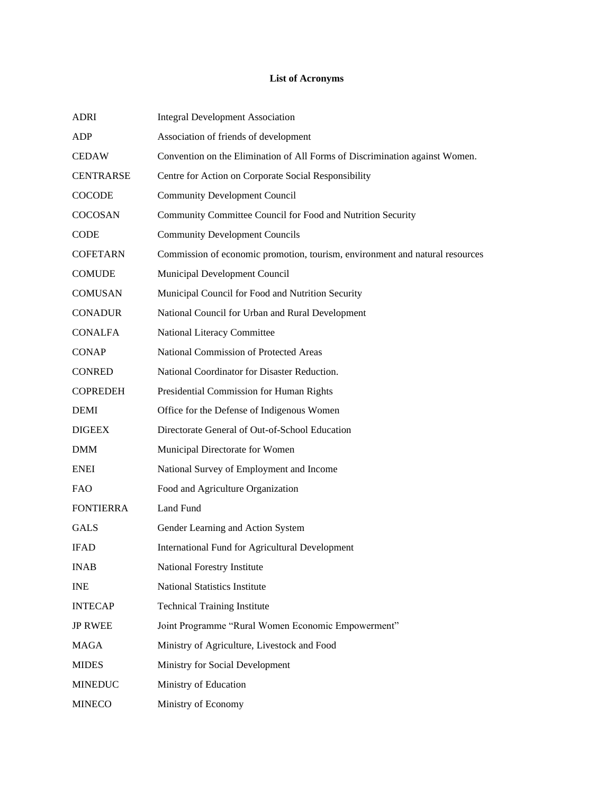# **List of Acronyms**

| <b>ADRI</b>      | <b>Integral Development Association</b>                                      |
|------------------|------------------------------------------------------------------------------|
| ADP              | Association of friends of development                                        |
| <b>CEDAW</b>     | Convention on the Elimination of All Forms of Discrimination against Women.  |
| <b>CENTRARSE</b> | Centre for Action on Corporate Social Responsibility                         |
| <b>COCODE</b>    | <b>Community Development Council</b>                                         |
| COCOSAN          | Community Committee Council for Food and Nutrition Security                  |
| <b>CODE</b>      | <b>Community Development Councils</b>                                        |
| <b>COFETARN</b>  | Commission of economic promotion, tourism, environment and natural resources |
| <b>COMUDE</b>    | Municipal Development Council                                                |
| <b>COMUSAN</b>   | Municipal Council for Food and Nutrition Security                            |
| <b>CONADUR</b>   | National Council for Urban and Rural Development                             |
| <b>CONALFA</b>   | National Literacy Committee                                                  |
| <b>CONAP</b>     | National Commission of Protected Areas                                       |
| <b>CONRED</b>    | National Coordinator for Disaster Reduction.                                 |
| <b>COPREDEH</b>  | Presidential Commission for Human Rights                                     |
| <b>DEMI</b>      | Office for the Defense of Indigenous Women                                   |
| <b>DIGEEX</b>    | Directorate General of Out-of-School Education                               |
| <b>DMM</b>       | Municipal Directorate for Women                                              |
| <b>ENEI</b>      | National Survey of Employment and Income                                     |
| <b>FAO</b>       | Food and Agriculture Organization                                            |
| <b>FONTIERRA</b> | Land Fund                                                                    |
| <b>GALS</b>      | Gender Learning and Action System                                            |
| <b>IFAD</b>      | International Fund for Agricultural Development                              |
| <b>INAB</b>      | National Forestry Institute                                                  |
| <b>INE</b>       | <b>National Statistics Institute</b>                                         |
| <b>INTECAP</b>   | <b>Technical Training Institute</b>                                          |
| <b>JP RWEE</b>   | Joint Programme "Rural Women Economic Empowerment"                           |
| <b>MAGA</b>      | Ministry of Agriculture, Livestock and Food                                  |
| <b>MIDES</b>     | Ministry for Social Development                                              |
| <b>MINEDUC</b>   | Ministry of Education                                                        |
| <b>MINECO</b>    | Ministry of Economy                                                          |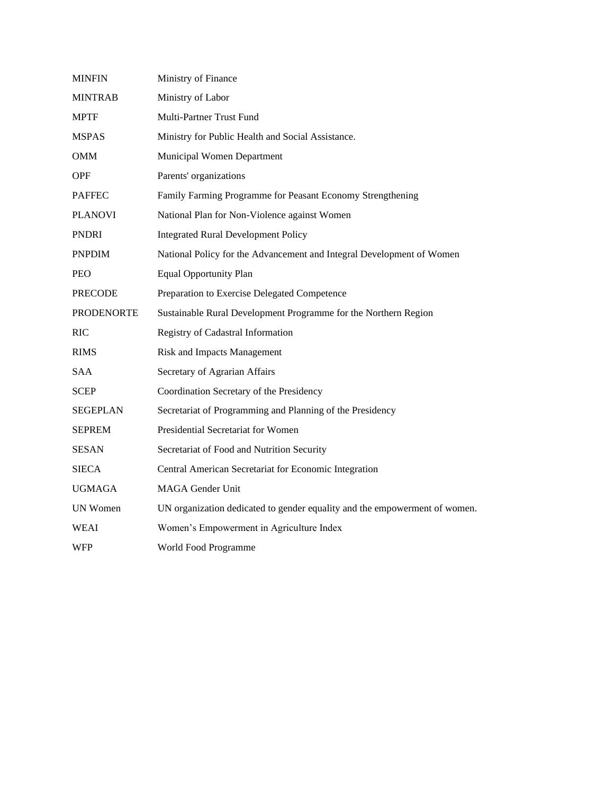| <b>MINFIN</b>     | Ministry of Finance                                                        |
|-------------------|----------------------------------------------------------------------------|
| <b>MINTRAB</b>    | Ministry of Labor                                                          |
| <b>MPTF</b>       | Multi-Partner Trust Fund                                                   |
| <b>MSPAS</b>      | Ministry for Public Health and Social Assistance.                          |
| <b>OMM</b>        | Municipal Women Department                                                 |
| <b>OPF</b>        | Parents' organizations                                                     |
| <b>PAFFEC</b>     | Family Farming Programme for Peasant Economy Strengthening                 |
| <b>PLANOVI</b>    | National Plan for Non-Violence against Women                               |
| <b>PNDRI</b>      | <b>Integrated Rural Development Policy</b>                                 |
| <b>PNPDIM</b>     | National Policy for the Advancement and Integral Development of Women      |
| <b>PEO</b>        | <b>Equal Opportunity Plan</b>                                              |
| <b>PRECODE</b>    | Preparation to Exercise Delegated Competence                               |
| <b>PRODENORTE</b> | Sustainable Rural Development Programme for the Northern Region            |
| RIC               | Registry of Cadastral Information                                          |
| <b>RIMS</b>       | <b>Risk and Impacts Management</b>                                         |
| SAA               | Secretary of Agrarian Affairs                                              |
| <b>SCEP</b>       | Coordination Secretary of the Presidency                                   |
| <b>SEGEPLAN</b>   | Secretariat of Programming and Planning of the Presidency                  |
| <b>SEPREM</b>     | Presidential Secretariat for Women                                         |
| SESAN             | Secretariat of Food and Nutrition Security                                 |
| <b>SIECA</b>      | Central American Secretariat for Economic Integration                      |
| <b>UGMAGA</b>     | <b>MAGA</b> Gender Unit                                                    |
| <b>UN Women</b>   | UN organization dedicated to gender equality and the empowerment of women. |
| WEAI              | Women's Empowerment in Agriculture Index                                   |
| WFP               | World Food Programme                                                       |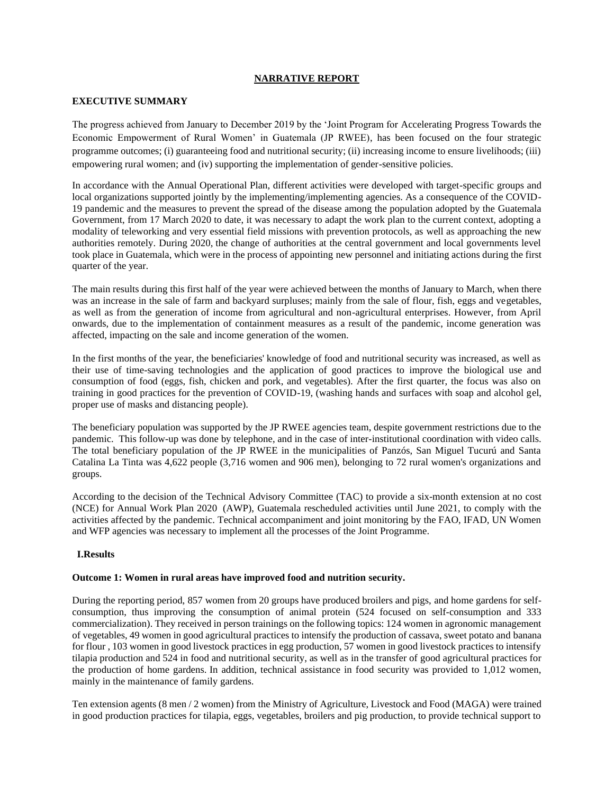## **NARRATIVE REPORT**

#### **EXECUTIVE SUMMARY**

The progress achieved from January to December 2019 by the 'Joint Program for Accelerating Progress Towards the Economic Empowerment of Rural Women' in Guatemala (JP RWEE), has been focused on the four strategic programme outcomes; (i) guaranteeing food and nutritional security; (ii) increasing income to ensure livelihoods; (iii) empowering rural women; and (iv) supporting the implementation of gender-sensitive policies.

In accordance with the Annual Operational Plan, different activities were developed with target-specific groups and local organizations supported jointly by the implementing/implementing agencies. As a consequence of the COVID-19 pandemic and the measures to prevent the spread of the disease among the population adopted by the Guatemala Government, from 17 March 2020 to date, it was necessary to adapt the work plan to the current context, adopting a modality of teleworking and very essential field missions with prevention protocols, as well as approaching the new authorities remotely. During 2020, the change of authorities at the central government and local governments level took place in Guatemala, which were in the process of appointing new personnel and initiating actions during the first quarter of the year.

The main results during this first half of the year were achieved between the months of January to March, when there was an increase in the sale of farm and backyard surpluses; mainly from the sale of flour, fish, eggs and vegetables, as well as from the generation of income from agricultural and non-agricultural enterprises. However, from April onwards, due to the implementation of containment measures as a result of the pandemic, income generation was affected, impacting on the sale and income generation of the women.

In the first months of the year, the beneficiaries' knowledge of food and nutritional security was increased, as well as their use of time-saving technologies and the application of good practices to improve the biological use and consumption of food (eggs, fish, chicken and pork, and vegetables). After the first quarter, the focus was also on training in good practices for the prevention of COVID-19, (washing hands and surfaces with soap and alcohol gel, proper use of masks and distancing people).

The beneficiary population was supported by the JP RWEE agencies team, despite government restrictions due to the pandemic. This follow-up was done by telephone, and in the case of inter-institutional coordination with video calls. The total beneficiary population of the JP RWEE in the municipalities of Panzós, San Miguel Tucurú and Santa Catalina La Tinta was 4,622 people (3,716 women and 906 men), belonging to 72 rural women's organizations and groups.

According to the decision of the Technical Advisory Committee (TAC) to provide a six-month extension at no cost (NCE) for Annual Work Plan 2020 (AWP), Guatemala rescheduled activities until June 2021, to comply with the activities affected by the pandemic. Technical accompaniment and joint monitoring by the FAO, IFAD, UN Women and WFP agencies was necessary to implement all the processes of the Joint Programme.

## **I.Results**

#### **Outcome 1: Women in rural areas have improved food and nutrition security.**

During the reporting period, 857 women from 20 groups have produced broilers and pigs, and home gardens for selfconsumption, thus improving the consumption of animal protein (524 focused on self-consumption and 333 commercialization). They received in person trainings on the following topics: 124 women in agronomic management of vegetables, 49 women in good agricultural practices to intensify the production of cassava, sweet potato and banana for flour , 103 women in good livestock practices in egg production, 57 women in good livestock practices to intensify tilapia production and 524 in food and nutritional security, as well as in the transfer of good agricultural practices for the production of home gardens. In addition, technical assistance in food security was provided to 1,012 women, mainly in the maintenance of family gardens.

Ten extension agents (8 men / 2 women) from the Ministry of Agriculture, Livestock and Food (MAGA) were trained in good production practices for tilapia, eggs, vegetables, broilers and pig production, to provide technical support to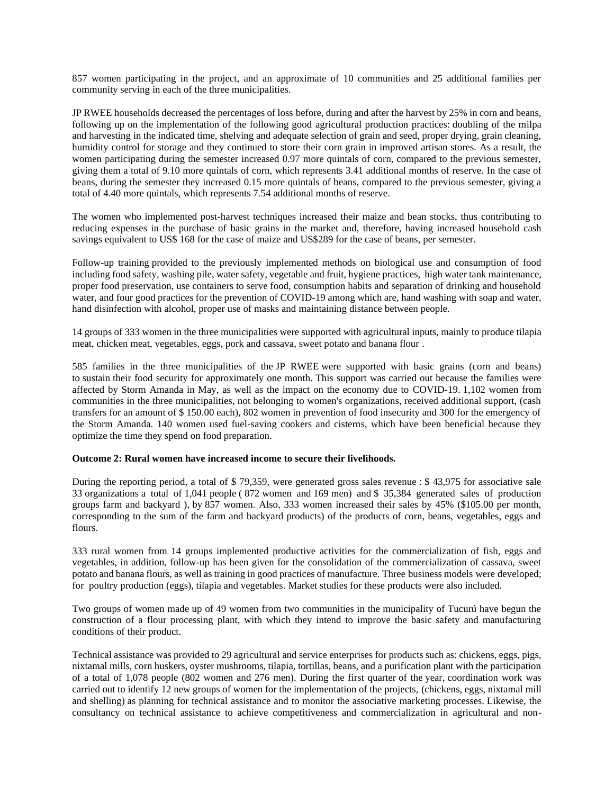857 women participating in the project, and an approximate of 10 communities and 25 additional families per community serving in each of the three municipalities.

JP RWEE households decreased the percentages of loss before, during and after the harvest by 25% in corn and beans, following up on the implementation of the following good agricultural production practices: doubling of the milpa and harvesting in the indicated time, shelving and adequate selection of grain and seed, proper drying, grain cleaning, humidity control for storage and they continued to store their corn grain in improved artisan stores. As a result, the women participating during the semester increased 0.97 more quintals of corn, compared to the previous semester, giving them a total of 9.10 more quintals of corn, which represents 3.41 additional months of reserve. In the case of beans, during the semester they increased 0.15 more quintals of beans, compared to the previous semester, giving a total of 4.40 more quintals, which represents 7.54 additional months of reserve.

The women who implemented post-harvest techniques increased their maize and bean stocks, thus contributing to reducing expenses in the purchase of basic grains in the market and, therefore, having increased household cash savings equivalent to US\$ 168 for the case of maize and US\$289 for the case of beans, per semester.

Follow-up training provided to the previously implemented methods on biological use and consumption of food including food safety, washing pile, water safety, vegetable and fruit, hygiene practices, high water tank maintenance, proper food preservation, use containers to serve food, consumption habits and separation of drinking and household water, and four good practices for the prevention of COVID-19 among which are, hand washing with soap and water, hand disinfection with alcohol, proper use of masks and maintaining distance between people.

14 groups of 333 women in the three municipalities were supported with agricultural inputs, mainly to produce tilapia meat, chicken meat, vegetables, eggs, pork and cassava, sweet potato and banana flour .

585 families in the three municipalities of the JP RWEE were supported with basic grains (corn and beans) to sustain their food security for approximately one month. This support was carried out because the families were affected by Storm Amanda in May, as well as the impact on the economy due to COVID-19. 1,102 women from communities in the three municipalities, not belonging to women's organizations, received additional support, (cash transfers for an amount of \$ 150.00 each), 802 women in prevention of food insecurity and 300 for the emergency of the Storm Amanda. 140 women used fuel-saving cookers and cisterns, which have been beneficial because they optimize the time they spend on food preparation.

#### **Outcome 2: Rural women have increased income to secure their livelihoods.**

During the reporting period, a total of \$ 79,359, were generated gross sales revenue : \$ 43,975 for associative sale 33 organizations a total of 1,041 people ( 872 women and 169 men) and \$ 35,384 generated sales of production groups farm and backyard ), by 857 women. Also, 333 women increased their sales by 45% (\$105.00 per month, corresponding to the sum of the farm and backyard products) of the products of corn, beans, vegetables, eggs and flours.

333 rural women from 14 groups implemented productive activities for the commercialization of fish, eggs and vegetables, in addition, follow-up has been given for the consolidation of the commercialization of cassava, sweet potato and banana flours, as well as training in good practices of manufacture. Three business models were developed; for poultry production (eggs), tilapia and vegetables. Market studies for these products were also included.

Two groups of women made up of 49 women from two communities in the municipality of Tucurú have begun the construction of a flour processing plant, with which they intend to improve the basic safety and manufacturing conditions of their product.

Technical assistance was provided to 29 agricultural and service enterprises for products such as: chickens, eggs, pigs, nixtamal mills, corn huskers, oyster mushrooms, tilapia, tortillas, beans, and a purification plant with the participation of a total of 1,078 people (802 women and 276 men). During the first quarter of the year, coordination work was carried out to identify 12 new groups of women for the implementation of the projects, (chickens, eggs, nixtamal mill and shelling) as planning for technical assistance and to monitor the associative marketing processes. Likewise, the consultancy on technical assistance to achieve competitiveness and commercialization in agricultural and non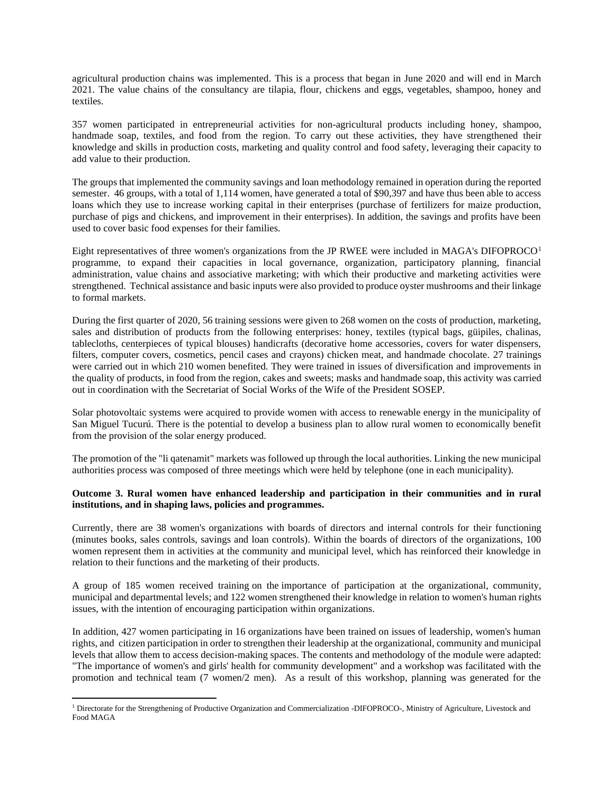agricultural production chains was implemented. This is a process that began in June 2020 and will end in March 2021. The value chains of the consultancy are tilapia, flour, chickens and eggs, vegetables, shampoo, honey and textiles.

357 women participated in entrepreneurial activities for non-agricultural products including honey, shampoo, handmade soap, textiles, and food from the region. To carry out these activities, they have strengthened their knowledge and skills in production costs, marketing and quality control and food safety, leveraging their capacity to add value to their production.

The groups that implemented the community savings and loan methodology remained in operation during the reported semester. 46 groups, with a total of 1,114 women, have generated a total of \$90,397 and have thus been able to access loans which they use to increase working capital in their enterprises (purchase of fertilizers for maize production, purchase of pigs and chickens, and improvement in their enterprises). In addition, the savings and profits have been used to cover basic food expenses for their families.

Eight representatives of three women's organizations from the JP RWEE were included in MAGA's DIFOPROCO<sup>1</sup> programme, to expand their capacities in local governance, organization, participatory planning, financial administration, value chains and associative marketing; with which their productive and marketing activities were strengthened. Technical assistance and basic inputs were also provided to produce oyster mushrooms and their linkage to formal markets.

During the first quarter of 2020, 56 training sessions were given to 268 women on the costs of production, marketing, sales and distribution of products from the following enterprises: honey, textiles (typical bags, güipiles, chalinas, tablecloths, centerpieces of typical blouses) handicrafts (decorative home accessories, covers for water dispensers, filters, computer covers, cosmetics, pencil cases and crayons) chicken meat, and handmade chocolate. 27 trainings were carried out in which 210 women benefited. They were trained in issues of diversification and improvements in the quality of products, in food from the region, cakes and sweets; masks and handmade soap, this activity was carried out in coordination with the Secretariat of Social Works of the Wife of the President SOSEP.

Solar photovoltaic systems were acquired to provide women with access to renewable energy in the municipality of San Miguel Tucurú. There is the potential to develop a business plan to allow rural women to economically benefit from the provision of the solar energy produced.

The promotion of the "li qatenamit" markets was followed up through the local authorities. Linking the new municipal authorities process was composed of three meetings which were held by telephone (one in each municipality).

### **Outcome 3. Rural women have enhanced leadership and participation in their communities and in rural institutions, and in shaping laws, policies and programmes.**

Currently, there are 38 women's organizations with boards of directors and internal controls for their functioning (minutes books, sales controls, savings and loan controls). Within the boards of directors of the organizations, 100 women represent them in activities at the community and municipal level, which has reinforced their knowledge in relation to their functions and the marketing of their products.

A group of 185 women received training on the importance of participation at the organizational, community, municipal and departmental levels; and 122 women strengthened their knowledge in relation to women's human rights issues, with the intention of encouraging participation within organizations.

In addition, 427 women participating in 16 organizations have been trained on issues of leadership, women's human rights, and citizen participation in order to strengthen their leadership at the organizational, community and municipal levels that allow them to access decision-making spaces. The contents and methodology of the module were adapted: "The importance of women's and girls' health for community development" and a workshop was facilitated with the promotion and technical team (7 women/2 men). As a result of this workshop, planning was generated for the

<sup>&</sup>lt;sup>1</sup> Directorate for the Strengthening of Productive Organization and Commercialization -DIFOPROCO-, Ministry of Agriculture, Livestock and Food MAGA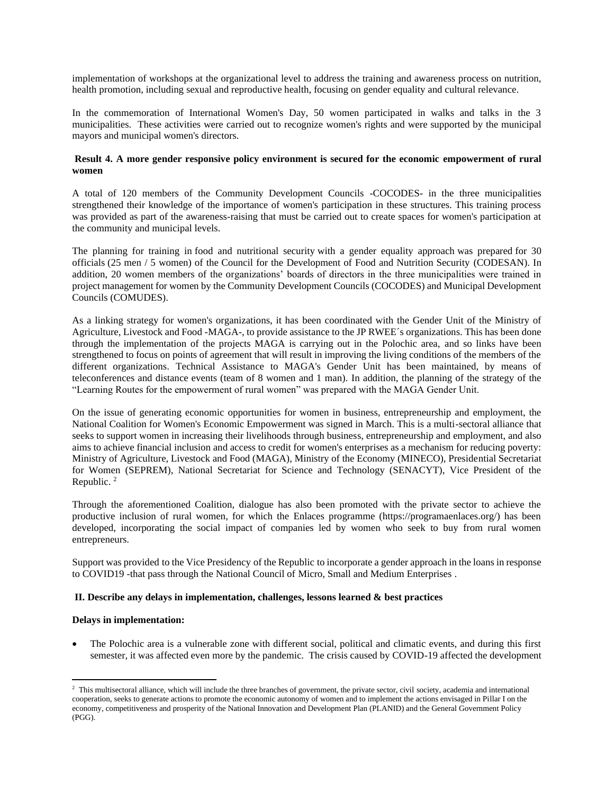implementation of workshops at the organizational level to address the training and awareness process on nutrition, health promotion, including sexual and reproductive health, focusing on gender equality and cultural relevance.

In the commemoration of International Women's Day, 50 women participated in walks and talks in the 3 municipalities. These activities were carried out to recognize women's rights and were supported by the municipal mayors and municipal women's directors.

#### **Result 4. A more gender responsive policy environment is secured for the economic empowerment of rural women**

A total of 120 members of the Community Development Councils -COCODES- in the three municipalities strengthened their knowledge of the importance of women's participation in these structures. This training process was provided as part of the awareness-raising that must be carried out to create spaces for women's participation at the community and municipal levels.

The planning for training in food and nutritional security with a gender equality approach was prepared for 30 officials (25 men / 5 women) of the Council for the Development of Food and Nutrition Security (CODESAN). In addition, 20 women members of the organizations' boards of directors in the three municipalities were trained in project management for women by the Community Development Councils (COCODES) and Municipal Development Councils (COMUDES).

As a linking strategy for women's organizations, it has been coordinated with the Gender Unit of the Ministry of Agriculture, Livestock and Food -MAGA-, to provide assistance to the JP RWEE´s organizations. This has been done through the implementation of the projects MAGA is carrying out in the Polochic area, and so links have been strengthened to focus on points of agreement that will result in improving the living conditions of the members of the different organizations. Technical Assistance to MAGA's Gender Unit has been maintained, by means of teleconferences and distance events (team of 8 women and 1 man). In addition, the planning of the strategy of the "Learning Routes for the empowerment of rural women" was prepared with the MAGA Gender Unit.

On the issue of generating economic opportunities for women in business, entrepreneurship and employment, the National Coalition for Women's Economic Empowerment was signed in March. This is a multi-sectoral alliance that seeks to support women in increasing their livelihoods through business, entrepreneurship and employment, and also aims to achieve financial inclusion and access to credit for women's enterprises as a mechanism for reducing poverty: Ministry of Agriculture, Livestock and Food (MAGA), Ministry of the Economy (MINECO), Presidential Secretariat for Women (SEPREM), National Secretariat for Science and Technology (SENACYT), Vice President of the Republic.<sup>2</sup>

Through the aforementioned Coalition, dialogue has also been promoted with the private sector to achieve the productive inclusion of rural women, for which the Enlaces programme (https://programaenlaces.org/) has been developed, incorporating the social impact of companies led by women who seek to buy from rural women entrepreneurs.

Support was provided to the Vice Presidency of the Republic to incorporate a gender approach in the loans in response to COVID19 -that pass through the National Council of Micro, Small and Medium Enterprises .

#### **II. Describe any delays in implementation, challenges, lessons learned & best practices**

#### **Delays in implementation:**

• The Polochic area is a vulnerable zone with different social, political and climatic events, and during this first semester, it was affected even more by the pandemic. The crisis caused by COVID-19 affected the development

<sup>&</sup>lt;sup>2</sup> This multisectoral alliance, which will include the three branches of government, the private sector, civil society, academia and international cooperation, seeks to generate actions to promote the economic autonomy of women and to implement the actions envisaged in Pillar I on the economy, competitiveness and prosperity of the National Innovation and Development Plan (PLANID) and the General Government Policy (PGG).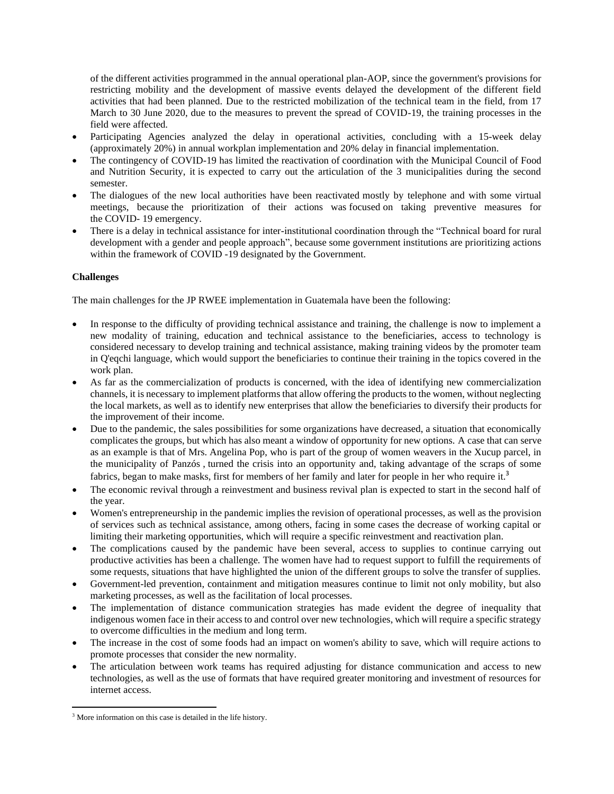of the different activities programmed in the annual operational plan-AOP, since the government's provisions for restricting mobility and the development of massive events delayed the development of the different field activities that had been planned. Due to the restricted mobilization of the technical team in the field, from 17 March to 30 June 2020, due to the measures to prevent the spread of COVID-19, the training processes in the field were affected.

- Participating Agencies analyzed the delay in operational activities, concluding with a 15-week delay (approximately 20%) in annual workplan implementation and 20% delay in financial implementation.
- The contingency of COVID-19 has limited the reactivation of coordination with the Municipal Council of Food and Nutrition Security, it is expected to carry out the articulation of the 3 municipalities during the second semester.
- The dialogues of the new local authorities have been reactivated mostly by telephone and with some virtual meetings, because the prioritization of their actions was focused on taking preventive measures for the COVID- 19 emergency.
- There is a delay in technical assistance for inter-institutional coordination through the "Technical board for rural development with a gender and people approach", because some government institutions are prioritizing actions within the framework of COVID -19 designated by the Government.

## **Challenges**

The main challenges for the JP RWEE implementation in Guatemala have been the following:

- In response to the difficulty of providing technical assistance and training, the challenge is now to implement a new modality of training, education and technical assistance to the beneficiaries, access to technology is considered necessary to develop training and technical assistance, making training videos by the promoter team in Q'eqchi language, which would support the beneficiaries to continue their training in the topics covered in the work plan.
- As far as the commercialization of products is concerned, with the idea of identifying new commercialization channels, it is necessary to implement platforms that allow offering the products to the women, without neglecting the local markets, as well as to identify new enterprises that allow the beneficiaries to diversify their products for the improvement of their income.
- Due to the pandemic, the sales possibilities for some organizations have decreased, a situation that economically complicates the groups, but which has also meant a window of opportunity for new options. A case that can serve as an example is that of Mrs. Angelina Pop, who is part of the group of women weavers in the Xucup parcel, in the municipality of Panzós , turned the crisis into an opportunity and, taking advantage of the scraps of some fabrics, began to make masks, first for members of her family and later for people in her who require it.<sup>3</sup>
- The economic revival through a reinvestment and business revival plan is expected to start in the second half of the year.
- Women's entrepreneurship in the pandemic implies the revision of operational processes, as well as the provision of services such as technical assistance, among others, facing in some cases the decrease of working capital or limiting their marketing opportunities, which will require a specific reinvestment and reactivation plan.
- The complications caused by the pandemic have been several, access to supplies to continue carrying out productive activities has been a challenge. The women have had to request support to fulfill the requirements of some requests, situations that have highlighted the union of the different groups to solve the transfer of supplies.
- Government-led prevention, containment and mitigation measures continue to limit not only mobility, but also marketing processes, as well as the facilitation of local processes.
- The implementation of distance communication strategies has made evident the degree of inequality that indigenous women face in their access to and control over new technologies, which will require a specific strategy to overcome difficulties in the medium and long term.
- The increase in the cost of some foods had an impact on women's ability to save, which will require actions to promote processes that consider the new normality.
- The articulation between work teams has required adjusting for distance communication and access to new technologies, as well as the use of formats that have required greater monitoring and investment of resources for internet access.

<sup>&</sup>lt;sup>3</sup> More information on this case is detailed in the life history.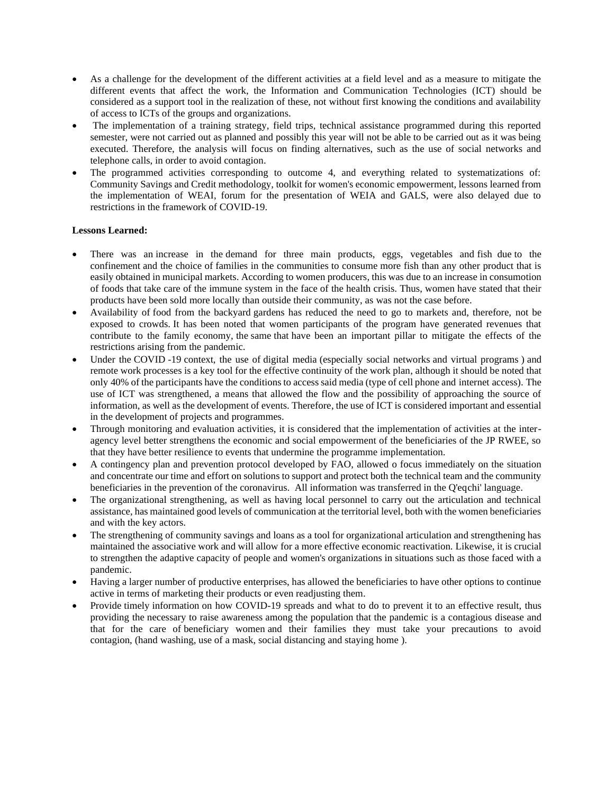- As a challenge for the development of the different activities at a field level and as a measure to mitigate the different events that affect the work, the Information and Communication Technologies (ICT) should be considered as a support tool in the realization of these, not without first knowing the conditions and availability of access to ICTs of the groups and organizations.
- The implementation of a training strategy, field trips, technical assistance programmed during this reported semester, were not carried out as planned and possibly this year will not be able to be carried out as it was being executed. Therefore, the analysis will focus on finding alternatives, such as the use of social networks and telephone calls, in order to avoid contagion.
- The programmed activities corresponding to outcome 4, and everything related to systematizations of: Community Savings and Credit methodology, toolkit for women's economic empowerment, lessons learned from the implementation of WEAI, forum for the presentation of WEIA and GALS, were also delayed due to restrictions in the framework of COVID-19.

## **Lessons Learned:**

- There was an increase in the demand for three main products, eggs, vegetables and fish due to the confinement and the choice of families in the communities to consume more fish than any other product that is easily obtained in municipal markets. According to women producers, this was due to an increase in consumotion of foods that take care of the immune system in the face of the health crisis. Thus, women have stated that their products have been sold more locally than outside their community, as was not the case before.
- Availability of food from the backyard gardens has reduced the need to go to markets and, therefore, not be exposed to crowds. It has been noted that women participants of the program have generated revenues that contribute to the family economy, the same that have been an important pillar to mitigate the effects of the restrictions arising from the pandemic.
- Under the COVID -19 context, the use of digital media (especially social networks and virtual programs) and remote work processes is a key tool for the effective continuity of the work plan, although it should be noted that only 40% of the participants have the conditions to access said media (type of cell phone and internet access). The use of ICT was strengthened, a means that allowed the flow and the possibility of approaching the source of information, as well as the development of events. Therefore, the use of ICT is considered important and essential in the development of projects and programmes.
- Through monitoring and evaluation activities, it is considered that the implementation of activities at the interagency level better strengthens the economic and social empowerment of the beneficiaries of the JP RWEE, so that they have better resilience to events that undermine the programme implementation.
- A contingency plan and prevention protocol developed by FAO, allowed o focus immediately on the situation and concentrate our time and effort on solutions to support and protect both the technical team and the community beneficiaries in the prevention of the coronavirus. All information was transferred in the Q'eqchi' language.
- The organizational strengthening, as well as having local personnel to carry out the articulation and technical assistance, has maintained good levels of communication at the territorial level, both with the women beneficiaries and with the key actors.
- The strengthening of community savings and loans as a tool for organizational articulation and strengthening has maintained the associative work and will allow for a more effective economic reactivation. Likewise, it is crucial to strengthen the adaptive capacity of people and women's organizations in situations such as those faced with a pandemic.
- Having a larger number of productive enterprises, has allowed the beneficiaries to have other options to continue active in terms of marketing their products or even readjusting them.
- Provide timely information on how COVID-19 spreads and what to do to prevent it to an effective result, thus providing the necessary to raise awareness among the population that the pandemic is a contagious disease and that for the care of beneficiary women and their families they must take your precautions to avoid contagion, (hand washing, use of a mask, social distancing and staying home ).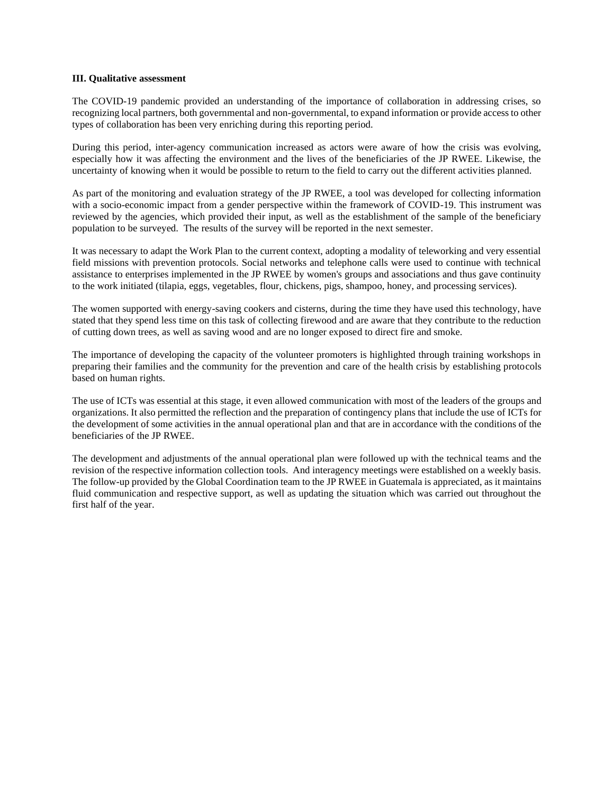#### **III. Qualitative assessment**

The COVID-19 pandemic provided an understanding of the importance of collaboration in addressing crises, so recognizing local partners, both governmental and non-governmental, to expand information or provide access to other types of collaboration has been very enriching during this reporting period.

During this period, inter-agency communication increased as actors were aware of how the crisis was evolving, especially how it was affecting the environment and the lives of the beneficiaries of the JP RWEE. Likewise, the uncertainty of knowing when it would be possible to return to the field to carry out the different activities planned.

As part of the monitoring and evaluation strategy of the JP RWEE, a tool was developed for collecting information with a socio-economic impact from a gender perspective within the framework of COVID-19. This instrument was reviewed by the agencies, which provided their input, as well as the establishment of the sample of the beneficiary population to be surveyed. The results of the survey will be reported in the next semester.

It was necessary to adapt the Work Plan to the current context, adopting a modality of teleworking and very essential field missions with prevention protocols. Social networks and telephone calls were used to continue with technical assistance to enterprises implemented in the JP RWEE by women's groups and associations and thus gave continuity to the work initiated (tilapia, eggs, vegetables, flour, chickens, pigs, shampoo, honey, and processing services).

The women supported with energy-saving cookers and cisterns, during the time they have used this technology, have stated that they spend less time on this task of collecting firewood and are aware that they contribute to the reduction of cutting down trees, as well as saving wood and are no longer exposed to direct fire and smoke.

The importance of developing the capacity of the volunteer promoters is highlighted through training workshops in preparing their families and the community for the prevention and care of the health crisis by establishing protocols based on human rights.

The use of ICTs was essential at this stage, it even allowed communication with most of the leaders of the groups and organizations. It also permitted the reflection and the preparation of contingency plans that include the use of ICTs for the development of some activities in the annual operational plan and that are in accordance with the conditions of the beneficiaries of the JP RWEE.

The development and adjustments of the annual operational plan were followed up with the technical teams and the revision of the respective information collection tools. And interagency meetings were established on a weekly basis. The follow-up provided by the Global Coordination team to the JP RWEE in Guatemala is appreciated, as it maintains fluid communication and respective support, as well as updating the situation which was carried out throughout the first half of the year.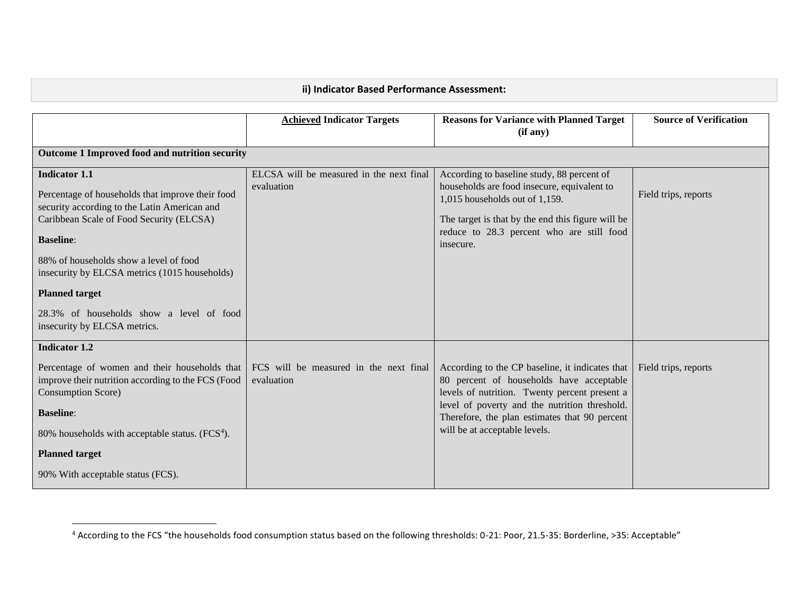|                                                                                                                                                                                                                                                                                                                                                          | <b>Achieved Indicator Targets</b>                      | <b>Reasons for Variance with Planned Target</b><br>(if any)                                                                                                                                                                                | <b>Source of Verification</b> |
|----------------------------------------------------------------------------------------------------------------------------------------------------------------------------------------------------------------------------------------------------------------------------------------------------------------------------------------------------------|--------------------------------------------------------|--------------------------------------------------------------------------------------------------------------------------------------------------------------------------------------------------------------------------------------------|-------------------------------|
| Outcome 1 Improved food and nutrition security                                                                                                                                                                                                                                                                                                           |                                                        |                                                                                                                                                                                                                                            |                               |
| <b>Indicator 1.1</b><br>Percentage of households that improve their food<br>security according to the Latin American and<br>Caribbean Scale of Food Security (ELCSA)<br><b>Baseline:</b><br>88% of households show a level of food<br>insecurity by ELCSA metrics (1015 households)<br><b>Planned target</b><br>28.3% of households show a level of food | ELCSA will be measured in the next final<br>evaluation | According to baseline study, 88 percent of<br>households are food insecure, equivalent to<br>1,015 households out of 1,159.<br>The target is that by the end this figure will be<br>reduce to 28.3 percent who are still food<br>insecure. | Field trips, reports          |
| insecurity by ELCSA metrics.<br><b>Indicator 1.2</b>                                                                                                                                                                                                                                                                                                     |                                                        |                                                                                                                                                                                                                                            |                               |
| Percentage of women and their households that<br>improve their nutrition according to the FCS (Food<br><b>Consumption Score</b> )                                                                                                                                                                                                                        | FCS will be measured in the next final<br>evaluation   | According to the CP baseline, it indicates that<br>80 percent of households have acceptable<br>levels of nutrition. Twenty percent present a                                                                                               | Field trips, reports          |
| <b>Baseline:</b>                                                                                                                                                                                                                                                                                                                                         |                                                        | level of poverty and the nutrition threshold.<br>Therefore, the plan estimates that 90 percent                                                                                                                                             |                               |
| 80% households with acceptable status. $(FCS4)$ .                                                                                                                                                                                                                                                                                                        |                                                        | will be at acceptable levels.                                                                                                                                                                                                              |                               |
| <b>Planned target</b>                                                                                                                                                                                                                                                                                                                                    |                                                        |                                                                                                                                                                                                                                            |                               |
| 90% With acceptable status (FCS).                                                                                                                                                                                                                                                                                                                        |                                                        |                                                                                                                                                                                                                                            |                               |

<sup>4</sup> According to the FCS "the households food consumption status based on the following thresholds: 0-21: Poor, 21.5-35: Borderline, >35: Acceptable"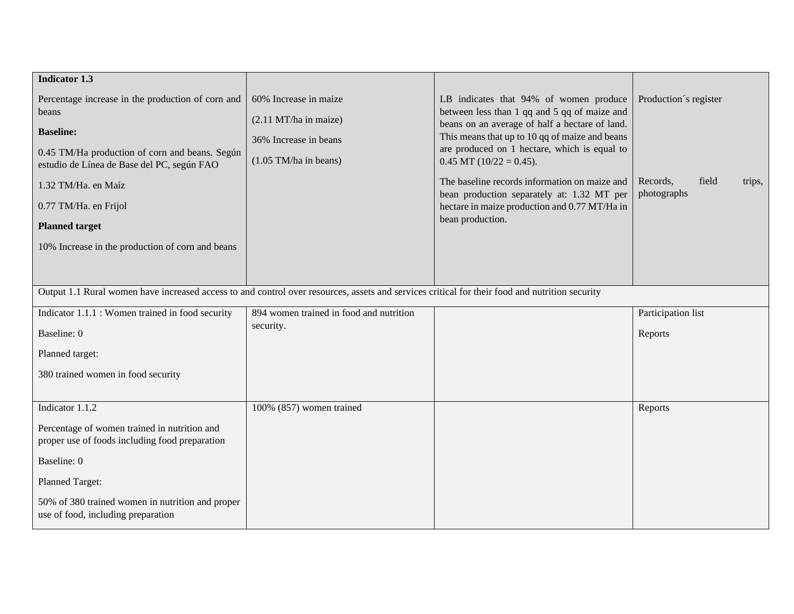| <b>Indicator 1.3</b>                                                                                                                                                                                                                                                                                        |                                                                                                    |                                                                                                                                                                                                                                                                                                                                                                                                                                                |                                                                     |
|-------------------------------------------------------------------------------------------------------------------------------------------------------------------------------------------------------------------------------------------------------------------------------------------------------------|----------------------------------------------------------------------------------------------------|------------------------------------------------------------------------------------------------------------------------------------------------------------------------------------------------------------------------------------------------------------------------------------------------------------------------------------------------------------------------------------------------------------------------------------------------|---------------------------------------------------------------------|
| Percentage increase in the production of corn and<br>beans<br><b>Baseline:</b><br>0.45 TM/Ha production of corn and beans. Según<br>estudio de Línea de Base del PC, según FAO<br>1.32 TM/Ha. en Maíz<br>0.77 TM/Ha. en Frijol<br><b>Planned target</b><br>10% Increase in the production of corn and beans | 60% Increase in maize<br>(2.11 MT/ha in maize)<br>36% Increase in beans<br>$(1.05$ TM/ha in beans) | LB indicates that 94% of women produce<br>between less than 1 qq and 5 qq of maize and<br>beans on an average of half a hectare of land.<br>This means that up to 10 qq of maize and beans<br>are produced on 1 hectare, which is equal to<br>$0.45$ MT $(10/22 = 0.45)$ .<br>The baseline records information on maize and<br>bean production separately at: 1.32 MT per<br>hectare in maize production and 0.77 MT/Ha in<br>bean production. | Production's register<br>Records,<br>field<br>trips,<br>photographs |
| Output 1.1 Rural women have increased access to and control over resources, assets and services critical for their food and nutrition security                                                                                                                                                              |                                                                                                    |                                                                                                                                                                                                                                                                                                                                                                                                                                                |                                                                     |
| Indicator 1.1.1 : Women trained in food security<br>Baseline: 0<br>Planned target:<br>380 trained women in food security                                                                                                                                                                                    | 894 women trained in food and nutrition<br>security.                                               |                                                                                                                                                                                                                                                                                                                                                                                                                                                | Participation list<br>Reports                                       |
| Indicator $1.\overline{1.2}$<br>Percentage of women trained in nutrition and<br>proper use of foods including food preparation<br>Baseline: 0<br>Planned Target:<br>50% of 380 trained women in nutrition and proper<br>use of food, including preparation                                                  | 100% (857) women trained                                                                           |                                                                                                                                                                                                                                                                                                                                                                                                                                                | Reports                                                             |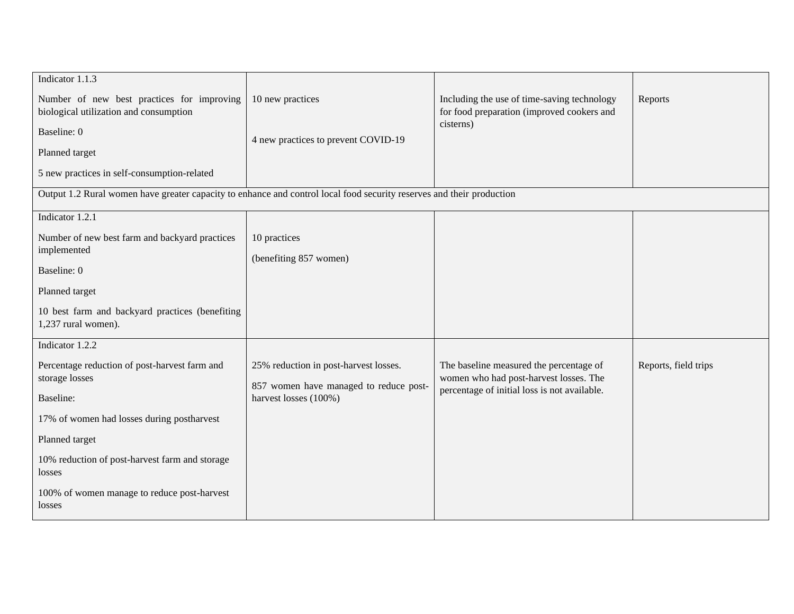| Indicator 1.1.3                                                                                                       |                                        |                                                         |                      |
|-----------------------------------------------------------------------------------------------------------------------|----------------------------------------|---------------------------------------------------------|----------------------|
| Number of new best practices for improving                                                                            | 10 new practices                       | Including the use of time-saving technology             | Reports              |
| biological utilization and consumption                                                                                |                                        | for food preparation (improved cookers and<br>cisterns) |                      |
| Baseline: 0                                                                                                           | 4 new practices to prevent COVID-19    |                                                         |                      |
| Planned target                                                                                                        |                                        |                                                         |                      |
| 5 new practices in self-consumption-related                                                                           |                                        |                                                         |                      |
| Output 1.2 Rural women have greater capacity to enhance and control local food security reserves and their production |                                        |                                                         |                      |
| Indicator 1.2.1                                                                                                       |                                        |                                                         |                      |
| Number of new best farm and backyard practices                                                                        | 10 practices                           |                                                         |                      |
| implemented                                                                                                           | (benefiting 857 women)                 |                                                         |                      |
| Baseline: 0                                                                                                           |                                        |                                                         |                      |
| Planned target                                                                                                        |                                        |                                                         |                      |
| 10 best farm and backyard practices (benefiting<br>1,237 rural women).                                                |                                        |                                                         |                      |
| Indicator 1.2.2                                                                                                       |                                        |                                                         |                      |
| Percentage reduction of post-harvest farm and                                                                         | 25% reduction in post-harvest losses.  | The baseline measured the percentage of                 | Reports, field trips |
| storage losses                                                                                                        | 857 women have managed to reduce post- | women who had post-harvest losses. The                  |                      |
| Baseline:                                                                                                             | harvest losses (100%)                  | percentage of initial loss is not available.            |                      |
| 17% of women had losses during postharvest                                                                            |                                        |                                                         |                      |
| Planned target                                                                                                        |                                        |                                                         |                      |
| 10% reduction of post-harvest farm and storage<br>losses                                                              |                                        |                                                         |                      |
| 100% of women manage to reduce post-harvest<br>losses                                                                 |                                        |                                                         |                      |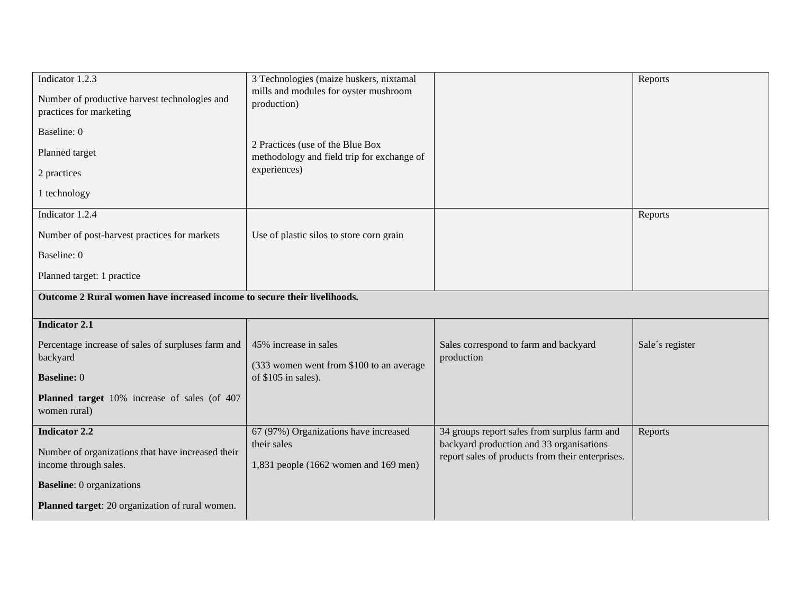| Indicator 1.2.3                                                            | 3 Technologies (maize huskers, nixtamal                                        |                                                                                              | Reports         |
|----------------------------------------------------------------------------|--------------------------------------------------------------------------------|----------------------------------------------------------------------------------------------|-----------------|
| Number of productive harvest technologies and<br>practices for marketing   | mills and modules for oyster mushroom<br>production)                           |                                                                                              |                 |
| Baseline: 0                                                                |                                                                                |                                                                                              |                 |
| Planned target                                                             | 2 Practices (use of the Blue Box<br>methodology and field trip for exchange of |                                                                                              |                 |
| 2 practices                                                                | experiences)                                                                   |                                                                                              |                 |
| 1 technology                                                               |                                                                                |                                                                                              |                 |
| Indicator 1.2.4                                                            |                                                                                |                                                                                              | Reports         |
| Number of post-harvest practices for markets                               | Use of plastic silos to store corn grain                                       |                                                                                              |                 |
| Baseline: 0                                                                |                                                                                |                                                                                              |                 |
| Planned target: 1 practice                                                 |                                                                                |                                                                                              |                 |
| Outcome 2 Rural women have increased income to secure their livelihoods.   |                                                                                |                                                                                              |                 |
| <b>Indicator 2.1</b>                                                       |                                                                                |                                                                                              |                 |
| Percentage increase of sales of surpluses farm and<br>backyard             | 45% increase in sales                                                          | Sales correspond to farm and backyard<br>production                                          | Sale's register |
| <b>Baseline: 0</b>                                                         | (333 women went from \$100 to an average<br>of \$105 in sales).                |                                                                                              |                 |
| Planned target 10% increase of sales (of 407<br>women rural)               |                                                                                |                                                                                              |                 |
| <b>Indicator 2.2</b>                                                       | 67 (97%) Organizations have increased                                          | 34 groups report sales from surplus farm and                                                 | Reports         |
| Number of organizations that have increased their<br>income through sales. | their sales<br>1,831 people (1662 women and 169 men)                           | backyard production and 33 organisations<br>report sales of products from their enterprises. |                 |
| <b>Baseline</b> : 0 organizations                                          |                                                                                |                                                                                              |                 |
| Planned target: 20 organization of rural women.                            |                                                                                |                                                                                              |                 |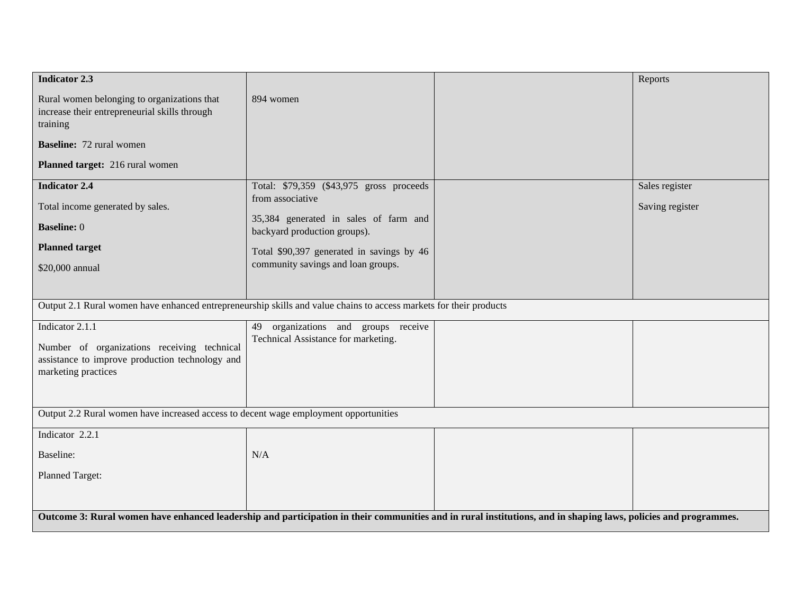| <b>Indicator 2.3</b>                                                                                                                                            |                                                                               |  | Reports         |
|-----------------------------------------------------------------------------------------------------------------------------------------------------------------|-------------------------------------------------------------------------------|--|-----------------|
| Rural women belonging to organizations that<br>increase their entrepreneurial skills through<br>training                                                        | 894 women                                                                     |  |                 |
| <b>Baseline:</b> 72 rural women                                                                                                                                 |                                                                               |  |                 |
| Planned target: 216 rural women                                                                                                                                 |                                                                               |  |                 |
| <b>Indicator 2.4</b>                                                                                                                                            | Total: \$79,359 (\$43,975 gross proceeds<br>from associative                  |  | Sales register  |
| Total income generated by sales.                                                                                                                                |                                                                               |  | Saving register |
| <b>Baseline: 0</b>                                                                                                                                              | 35,384 generated in sales of farm and<br>backyard production groups).         |  |                 |
| <b>Planned target</b>                                                                                                                                           | Total \$90,397 generated in savings by 46                                     |  |                 |
| \$20,000 annual                                                                                                                                                 | community savings and loan groups.                                            |  |                 |
|                                                                                                                                                                 |                                                                               |  |                 |
| Output 2.1 Rural women have enhanced entrepreneurship skills and value chains to access markets for their products                                              |                                                                               |  |                 |
| Indicator 2.1.1                                                                                                                                                 | organizations and groups receive<br>49<br>Technical Assistance for marketing. |  |                 |
| Number of organizations receiving technical                                                                                                                     |                                                                               |  |                 |
| assistance to improve production technology and<br>marketing practices                                                                                          |                                                                               |  |                 |
|                                                                                                                                                                 |                                                                               |  |                 |
| Output 2.2 Rural women have increased access to decent wage employment opportunities                                                                            |                                                                               |  |                 |
| Indicator 2.2.1                                                                                                                                                 |                                                                               |  |                 |
| Baseline:                                                                                                                                                       | N/A                                                                           |  |                 |
| Planned Target:                                                                                                                                                 |                                                                               |  |                 |
|                                                                                                                                                                 |                                                                               |  |                 |
| Outcome 3: Rural women have enhanced leadership and participation in their communities and in rural institutions, and in shaping laws, policies and programmes. |                                                                               |  |                 |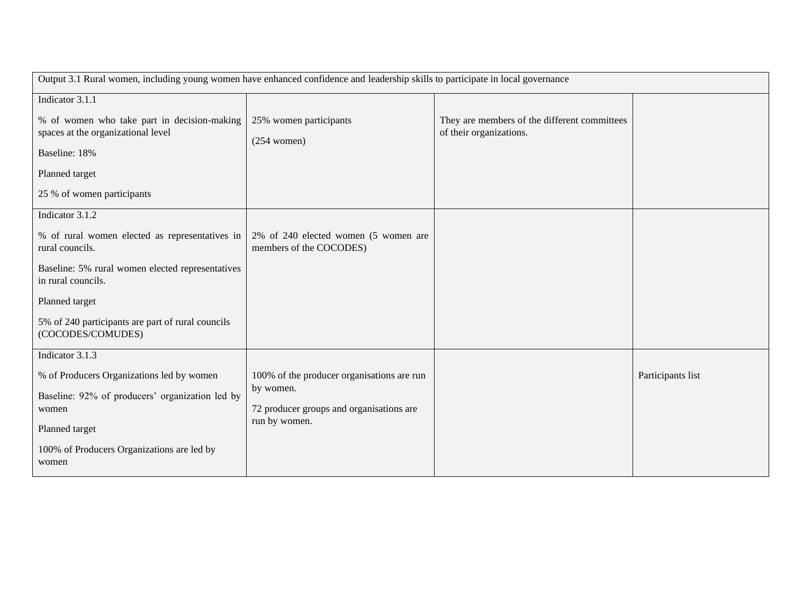| Output 3.1 Rural women, including young women have enhanced confidence and leadership skills to participate in local governance |                                                           |                                              |                   |
|---------------------------------------------------------------------------------------------------------------------------------|-----------------------------------------------------------|----------------------------------------------|-------------------|
| Indicator 3.1.1                                                                                                                 |                                                           |                                              |                   |
| % of women who take part in decision-making                                                                                     | 25% women participants                                    | They are members of the different committees |                   |
| spaces at the organizational level                                                                                              | $(254$ women)                                             | of their organizations.                      |                   |
| Baseline: 18%                                                                                                                   |                                                           |                                              |                   |
| Planned target                                                                                                                  |                                                           |                                              |                   |
| 25 % of women participants                                                                                                      |                                                           |                                              |                   |
| Indicator 3.1.2                                                                                                                 |                                                           |                                              |                   |
| % of rural women elected as representatives in                                                                                  | 2% of 240 elected women (5 women are                      |                                              |                   |
| rural councils.                                                                                                                 | members of the COCODES)                                   |                                              |                   |
| Baseline: 5% rural women elected representatives<br>in rural councils.                                                          |                                                           |                                              |                   |
| Planned target                                                                                                                  |                                                           |                                              |                   |
| 5% of 240 participants are part of rural councils<br>(COCODES/COMUDES)                                                          |                                                           |                                              |                   |
| Indicator 3.1.3                                                                                                                 |                                                           |                                              |                   |
| % of Producers Organizations led by women                                                                                       | 100% of the producer organisations are run                |                                              | Participants list |
| Baseline: 92% of producers' organization led by                                                                                 | by women.                                                 |                                              |                   |
| women                                                                                                                           | 72 producer groups and organisations are<br>run by women. |                                              |                   |
| Planned target                                                                                                                  |                                                           |                                              |                   |
| 100% of Producers Organizations are led by                                                                                      |                                                           |                                              |                   |
| women                                                                                                                           |                                                           |                                              |                   |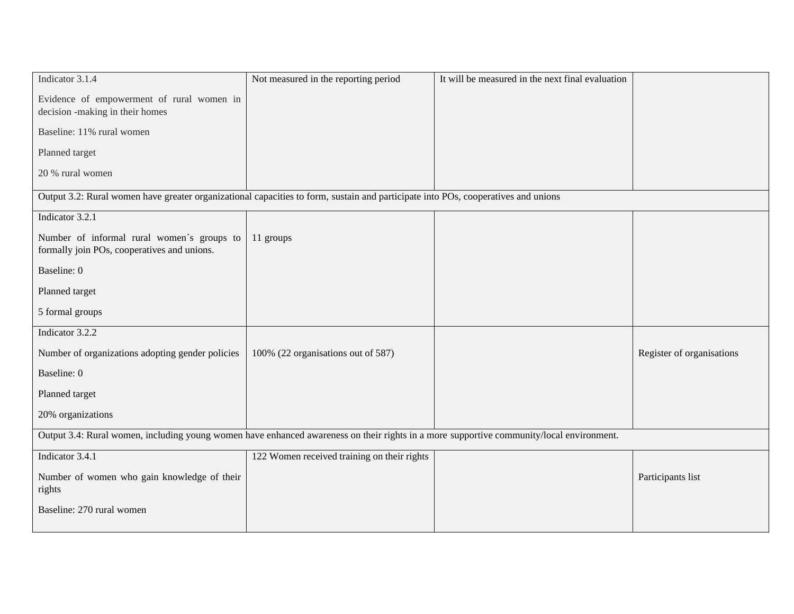| Not measured in the reporting period        | It will be measured in the next final evaluation |                                                                                                                                                                                                                                                                               |
|---------------------------------------------|--------------------------------------------------|-------------------------------------------------------------------------------------------------------------------------------------------------------------------------------------------------------------------------------------------------------------------------------|
|                                             |                                                  |                                                                                                                                                                                                                                                                               |
|                                             |                                                  |                                                                                                                                                                                                                                                                               |
|                                             |                                                  |                                                                                                                                                                                                                                                                               |
|                                             |                                                  |                                                                                                                                                                                                                                                                               |
|                                             |                                                  |                                                                                                                                                                                                                                                                               |
|                                             |                                                  |                                                                                                                                                                                                                                                                               |
| 11 groups                                   |                                                  |                                                                                                                                                                                                                                                                               |
|                                             |                                                  |                                                                                                                                                                                                                                                                               |
|                                             |                                                  |                                                                                                                                                                                                                                                                               |
|                                             |                                                  |                                                                                                                                                                                                                                                                               |
|                                             |                                                  |                                                                                                                                                                                                                                                                               |
| 100% (22 organisations out of 587)          |                                                  | Register of organisations                                                                                                                                                                                                                                                     |
|                                             |                                                  |                                                                                                                                                                                                                                                                               |
|                                             |                                                  |                                                                                                                                                                                                                                                                               |
|                                             |                                                  |                                                                                                                                                                                                                                                                               |
|                                             |                                                  |                                                                                                                                                                                                                                                                               |
| 122 Women received training on their rights |                                                  |                                                                                                                                                                                                                                                                               |
|                                             |                                                  | Participants list                                                                                                                                                                                                                                                             |
|                                             |                                                  |                                                                                                                                                                                                                                                                               |
|                                             |                                                  | Output 3.2: Rural women have greater organizational capacities to form, sustain and participate into POs, cooperatives and unions<br>Output 3.4: Rural women, including young women have enhanced awareness on their rights in a more supportive community/local environment. |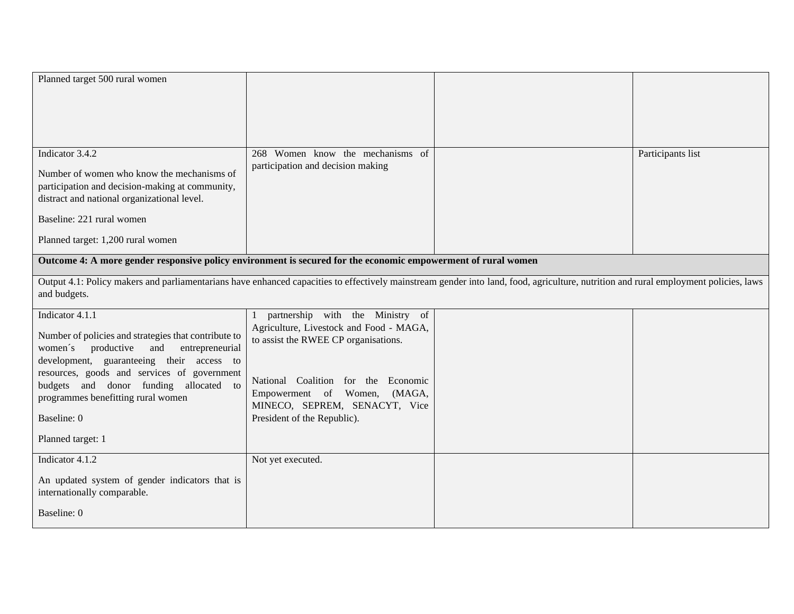| Planned target 500 rural women                                                                                                                                                       |                                         |                   |
|--------------------------------------------------------------------------------------------------------------------------------------------------------------------------------------|-----------------------------------------|-------------------|
|                                                                                                                                                                                      |                                         |                   |
|                                                                                                                                                                                      |                                         |                   |
|                                                                                                                                                                                      |                                         |                   |
|                                                                                                                                                                                      |                                         |                   |
| Indicator 3.4.2                                                                                                                                                                      | 268 Women know the mechanisms of        | Participants list |
| Number of women who know the mechanisms of                                                                                                                                           | participation and decision making       |                   |
| participation and decision-making at community,                                                                                                                                      |                                         |                   |
| distract and national organizational level.                                                                                                                                          |                                         |                   |
| Baseline: 221 rural women                                                                                                                                                            |                                         |                   |
| Planned target: 1,200 rural women                                                                                                                                                    |                                         |                   |
| Outcome 4: A more gender responsive policy environment is secured for the economic empowerment of rural women                                                                        |                                         |                   |
| Output 4.1: Policy makers and parliamentarians have enhanced capacities to effectively mainstream gender into land, food, agriculture, nutrition and rural employment policies, laws |                                         |                   |
| and budgets.                                                                                                                                                                         |                                         |                   |
| Indicator 4.1.1                                                                                                                                                                      | partnership with the Ministry of        |                   |
| Number of policies and strategies that contribute to                                                                                                                                 | Agriculture, Livestock and Food - MAGA, |                   |
| women's<br>productive<br>and<br>entrepreneurial                                                                                                                                      | to assist the RWEE CP organisations.    |                   |
| development, guaranteeing their access to                                                                                                                                            |                                         |                   |
| resources, goods and services of government                                                                                                                                          | National Coalition for the Economic     |                   |
| budgets and donor funding allocated to                                                                                                                                               | Empowerment of Women,<br>(MAGA,         |                   |
| programmes benefitting rural women                                                                                                                                                   | MINECO, SEPREM, SENACYT, Vice           |                   |
| Baseline: 0                                                                                                                                                                          | President of the Republic).             |                   |
| Planned target: 1                                                                                                                                                                    |                                         |                   |
|                                                                                                                                                                                      |                                         |                   |
| Indicator 4.1.2                                                                                                                                                                      | Not yet executed.                       |                   |
| An updated system of gender indicators that is<br>internationally comparable.                                                                                                        |                                         |                   |
| Baseline: 0                                                                                                                                                                          |                                         |                   |